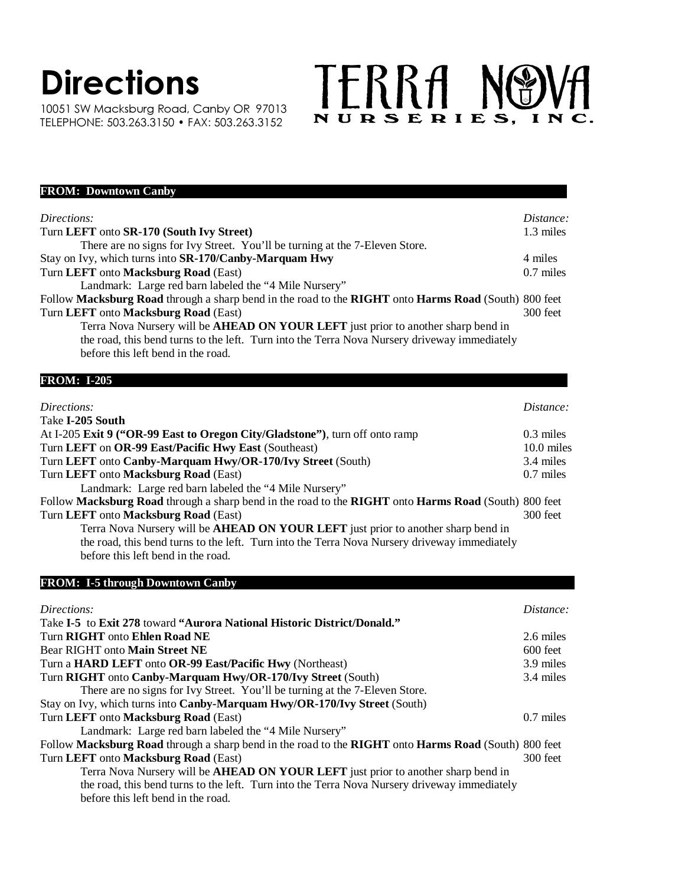## **Directions**

10051 SW Macksburg Road, Canby OR 97013 TELEPHONE: 503.263.3150 • FAX: 503.263.3152

## TERRA NOVA

| <b>FROM: Downtown Canby</b>                                                                          |             |
|------------------------------------------------------------------------------------------------------|-------------|
| Directions:                                                                                          | Distance:   |
| Turn LEFT onto SR-170 (South Ivy Street)                                                             | 1.3 miles   |
| There are no signs for Ivy Street. You'll be turning at the 7-Eleven Store.                          |             |
| Stay on Ivy, which turns into SR-170/Canby-Marquam Hwy                                               | 4 miles     |
| Turn LEFT onto Macksburg Road (East)                                                                 | $0.7$ miles |
| Landmark: Large red barn labeled the "4 Mile Nursery"                                                |             |
| Follow Macksburg Road through a sharp bend in the road to the RIGHT onto Harms Road (South) 800 feet |             |
| Turn LEFT onto Macksburg Road (East)                                                                 | 300 feet    |
| Terra Nova Nursery will be <b>AHEAD ON YOUR LEFT</b> just prior to another sharp bend in             |             |
| the road, this bend turns to the left. Turn into the Terra Nova Nursery driveway immediately         |             |
| before this left bend in the road.                                                                   |             |
| <b>FROM: I-205</b>                                                                                   |             |
|                                                                                                      |             |
| Directions:                                                                                          | Distance:   |

| Take I-205 South                                                                                     |             |
|------------------------------------------------------------------------------------------------------|-------------|
| At I-205 Exit 9 ("OR-99 East to Oregon City/Gladstone"), turn off onto ramp                          | $0.3$ miles |
| Turn LEFT on OR-99 East/Pacific Hwy East (Southeast)                                                 | 10.0 miles  |
| Turn LEFT onto Canby-Marquam Hwy/OR-170/Ivy Street (South)                                           | 3.4 miles   |
| Turn LEFT onto Macksburg Road (East)                                                                 | $0.7$ miles |
| Landmark: Large red barn labeled the "4 Mile Nursery"                                                |             |
| Follow Macksburg Road through a sharp bend in the road to the RIGHT onto Harms Road (South) 800 feet |             |
| Turn LEFT onto Macksburg Road (East)                                                                 | 300 feet    |
| Terra Nova Nursery will be AHEAD ON YOUR LEFT just prior to another sharp bend in                    |             |
|                                                                                                      |             |

the road, this bend turns to the left. Turn into the Terra Nova Nursery driveway immediately before this left bend in the road.

## **FROM: I-5 through Downtown Canby**

| Directions:                                                                                          | Distance:   |
|------------------------------------------------------------------------------------------------------|-------------|
| Take I-5 to Exit 278 toward "Aurora National Historic District/Donald."                              |             |
| Turn RIGHT onto Ehlen Road NE                                                                        | 2.6 miles   |
| Bear RIGHT onto Main Street NE                                                                       | $600$ feet  |
| Turn a <b>HARD LEFT</b> onto OR-99 East/Pacific Hwy (Northeast)                                      | 3.9 miles   |
| Turn RIGHT onto Canby-Marquam Hwy/OR-170/Ivy Street (South)                                          | 3.4 miles   |
| There are no signs for Ivy Street. You'll be turning at the 7-Eleven Store.                          |             |
| Stay on Ivy, which turns into Canby-Marquam Hwy/OR-170/Ivy Street (South)                            |             |
| Turn LEFT onto Macksburg Road (East)                                                                 | $0.7$ miles |
| Landmark: Large red barn labeled the "4 Mile Nursery"                                                |             |
| Follow Macksburg Road through a sharp bend in the road to the RIGHT onto Harms Road (South) 800 feet |             |
| Turn LEFT onto Macksburg Road (East)                                                                 | 300 feet    |
| Terra Nova Nursery will be <b>AHEAD ON YOUR LEFT</b> just prior to another sharp bend in             |             |
| the road, this bend turns to the left. Turn into the Terra Nova Nursery driveway immediately         |             |
| before this left bend in the road.                                                                   |             |